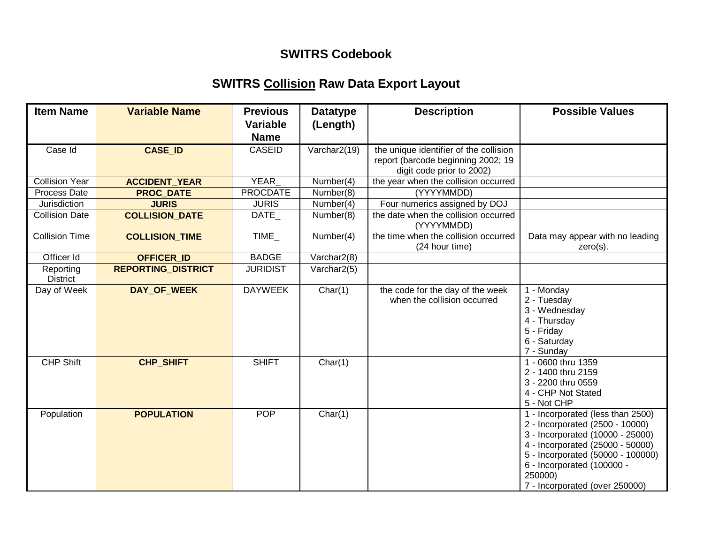## **SWITRS Codebook**

## **SWITRS Collision Raw Data Export Layout**

| <b>Item Name</b>             | <b>Variable Name</b>      | <b>Previous</b><br><b>Variable</b><br><b>Name</b> | <b>Datatype</b><br>(Length) | <b>Description</b>                                                                                        | <b>Possible Values</b>                                                                                                                                                                                                                                       |
|------------------------------|---------------------------|---------------------------------------------------|-----------------------------|-----------------------------------------------------------------------------------------------------------|--------------------------------------------------------------------------------------------------------------------------------------------------------------------------------------------------------------------------------------------------------------|
| Case Id                      | <b>CASE ID</b>            | <b>CASEID</b>                                     | Varchar2(19)                | the unique identifier of the collision<br>report (barcode beginning 2002; 19<br>digit code prior to 2002) |                                                                                                                                                                                                                                                              |
| <b>Collision Year</b>        | <b>ACCIDENT_YEAR</b>      | <b>YEAR</b>                                       | Number(4)                   | the year when the collision occurred                                                                      |                                                                                                                                                                                                                                                              |
| Process Date                 | <b>PROC DATE</b>          | <b>PROCDATE</b>                                   | Number(8)                   | (YYYYMMDD)                                                                                                |                                                                                                                                                                                                                                                              |
| Jurisdiction                 | <b>JURIS</b>              | <b>JURIS</b>                                      | Number(4)                   | Four numerics assigned by DOJ                                                                             |                                                                                                                                                                                                                                                              |
| <b>Collision Date</b>        | <b>COLLISION DATE</b>     | DATE_                                             | Number(8)                   | the date when the collision occurred<br>(YYYYMMDD)                                                        |                                                                                                                                                                                                                                                              |
| <b>Collision Time</b>        | <b>COLLISION TIME</b>     | <b>TIME</b>                                       | Number(4)                   | the time when the collision occurred<br>(24 hour time)                                                    | Data may appear with no leading<br>$zero(s)$ .                                                                                                                                                                                                               |
| Officer Id                   | <b>OFFICER ID</b>         | <b>BADGE</b>                                      | Varchar2(8)                 |                                                                                                           |                                                                                                                                                                                                                                                              |
| Reporting<br><b>District</b> | <b>REPORTING_DISTRICT</b> | <b>JURIDIST</b>                                   | Varchar2(5)                 |                                                                                                           |                                                                                                                                                                                                                                                              |
| Day of Week                  | DAY_OF_WEEK               | <b>DAYWEEK</b>                                    | Char(1)                     | the code for the day of the week<br>when the collision occurred                                           | 1 - Monday<br>2 - Tuesday<br>3 - Wednesday<br>4 - Thursday<br>5 - Friday<br>6 - Saturday<br>7 - Sunday                                                                                                                                                       |
| <b>CHP Shift</b>             | <b>CHP_SHIFT</b>          | <b>SHIFT</b>                                      | Char(1)                     |                                                                                                           | 1 - 0600 thru 1359<br>2 - 1400 thru 2159<br>3 - 2200 thru 0559<br>4 - CHP Not Stated<br>5 - Not CHP                                                                                                                                                          |
| Population                   | <b>POPULATION</b>         | <b>POP</b>                                        | Char(1)                     |                                                                                                           | 1 - Incorporated (less than 2500)<br>2 - Incorporated (2500 - 10000)<br>3 - Incorporated (10000 - 25000)<br>4 - Incorporated (25000 - 50000)<br>5 - Incorporated (50000 - 100000)<br>6 - Incorporated (100000 -<br>250000)<br>7 - Incorporated (over 250000) |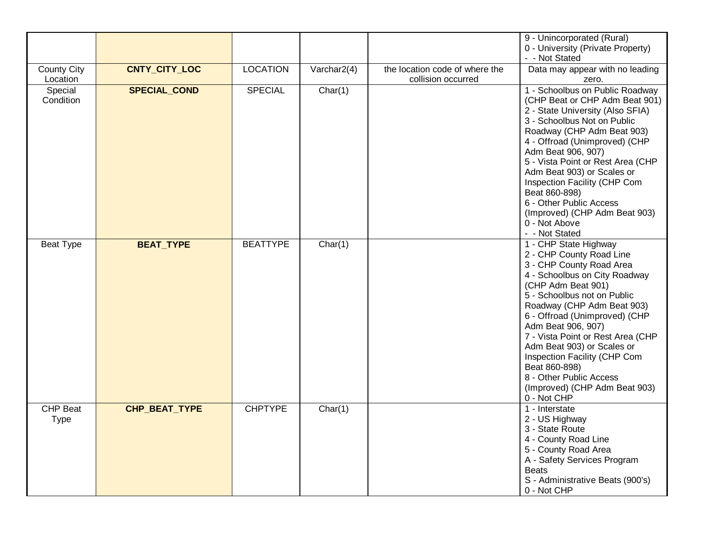|                                |                     |                 |             |                                                      | 9 - Unincorporated (Rural)<br>0 - University (Private Property)<br>- - Not Stated                                                                                                                                                                                                                                                                                                                                                                       |
|--------------------------------|---------------------|-----------------|-------------|------------------------------------------------------|---------------------------------------------------------------------------------------------------------------------------------------------------------------------------------------------------------------------------------------------------------------------------------------------------------------------------------------------------------------------------------------------------------------------------------------------------------|
| <b>County City</b><br>Location | CNTY_CITY_LOC       | <b>LOCATION</b> | Varchar2(4) | the location code of where the<br>collision occurred | Data may appear with no leading<br>zero.                                                                                                                                                                                                                                                                                                                                                                                                                |
| Special<br>Condition           | <b>SPECIAL_COND</b> | <b>SPECIAL</b>  | Char(1)     |                                                      | 1 - Schoolbus on Public Roadway<br>(CHP Beat or CHP Adm Beat 901)<br>2 - State University (Also SFIA)<br>3 - Schoolbus Not on Public<br>Roadway (CHP Adm Beat 903)<br>4 - Offroad (Unimproved) (CHP<br>Adm Beat 906, 907)<br>5 - Vista Point or Rest Area (CHP<br>Adm Beat 903) or Scales or<br>Inspection Facility (CHP Com<br>Beat 860-898)<br>6 - Other Public Access<br>(Improved) (CHP Adm Beat 903)<br>0 - Not Above<br>- - Not Stated            |
| <b>Beat Type</b>               | <b>BEAT_TYPE</b>    | <b>BEATTYPE</b> | Char(1)     |                                                      | 1 - CHP State Highway<br>2 - CHP County Road Line<br>3 - CHP County Road Area<br>4 - Schoolbus on City Roadway<br>(CHP Adm Beat 901)<br>5 - Schoolbus not on Public<br>Roadway (CHP Adm Beat 903)<br>6 - Offroad (Unimproved) (CHP<br>Adm Beat 906, 907)<br>7 - Vista Point or Rest Area (CHP<br>Adm Beat 903) or Scales or<br>Inspection Facility (CHP Com<br>Beat 860-898)<br>8 - Other Public Access<br>(Improved) (CHP Adm Beat 903)<br>0 - Not CHP |
| <b>CHP Beat</b><br><b>Type</b> | CHP_BEAT_TYPE       | <b>CHPTYPE</b>  | Char(1)     |                                                      | 1 - Interstate<br>2 - US Highway<br>3 - State Route<br>4 - County Road Line<br>5 - County Road Area<br>A - Safety Services Program<br><b>Beats</b><br>S - Administrative Beats (900's)<br>0 - Not CHP                                                                                                                                                                                                                                                   |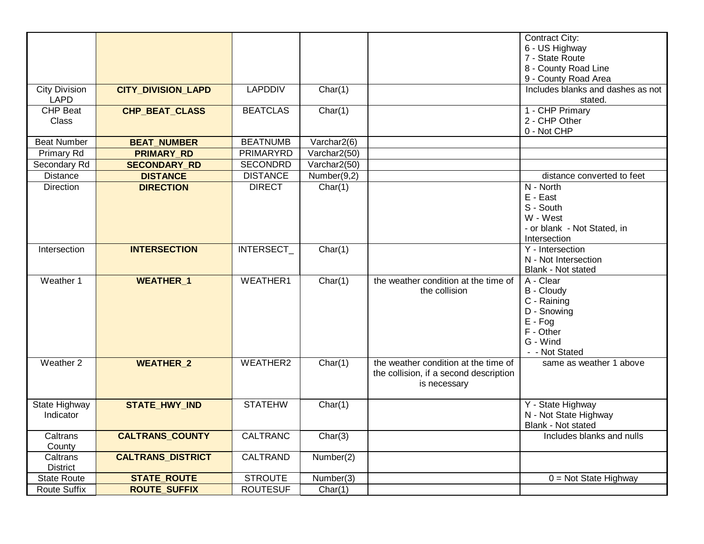|                      |                           |                  |                               |                                        | Contract City:                                  |
|----------------------|---------------------------|------------------|-------------------------------|----------------------------------------|-------------------------------------------------|
|                      |                           |                  |                               |                                        | 6 - US Highway                                  |
|                      |                           |                  |                               |                                        | 7 - State Route                                 |
|                      |                           |                  |                               |                                        | 8 - County Road Line                            |
|                      |                           |                  |                               |                                        | 9 - County Road Area                            |
| <b>City Division</b> | <b>CITY_DIVISION_LAPD</b> | <b>LAPDDIV</b>   | Char(1)                       |                                        | Includes blanks and dashes as not               |
| LAPD                 |                           |                  |                               |                                        | stated.                                         |
| <b>CHP Beat</b>      | CHP_BEAT_CLASS            | <b>BEATCLAS</b>  | Char(1)                       |                                        | 1 - CHP Primary                                 |
| <b>Class</b>         |                           |                  |                               |                                        | 2 - CHP Other                                   |
|                      |                           |                  |                               |                                        | 0 - Not CHP                                     |
| <b>Beat Number</b>   | <b>BEAT_NUMBER</b>        | <b>BEATNUMB</b>  | Varchar2(6)                   |                                        |                                                 |
| Primary Rd           | <b>PRIMARY_RD</b>         | <b>PRIMARYRD</b> | Varchar2(50)                  |                                        |                                                 |
| Secondary Rd         | <b>SECONDARY RD</b>       | <b>SECONDRD</b>  | Varchar2(50)                  |                                        |                                                 |
| <b>Distance</b>      | <b>DISTANCE</b>           | <b>DISTANCE</b>  | Number(9,2)                   |                                        | distance converted to feet                      |
| <b>Direction</b>     | <b>DIRECTION</b>          | <b>DIRECT</b>    | Char(1)                       |                                        | N - North                                       |
|                      |                           |                  |                               |                                        | E - East                                        |
|                      |                           |                  |                               |                                        | S - South                                       |
|                      |                           |                  |                               |                                        | W - West                                        |
|                      |                           |                  |                               |                                        | - or blank - Not Stated, in<br>Intersection     |
|                      | <b>INTERSECTION</b>       |                  |                               |                                        | Y - Intersection                                |
| Intersection         |                           | INTERSECT_       | Char(1)                       |                                        | N - Not Intersection                            |
|                      |                           |                  |                               |                                        | Blank - Not stated                              |
| Weather 1            | <b>WEATHER 1</b>          | <b>WEATHER1</b>  | Char(1)                       | the weather condition at the time of   | A - Clear                                       |
|                      |                           |                  |                               | the collision                          | <b>B</b> - Cloudy                               |
|                      |                           |                  |                               |                                        | C - Raining                                     |
|                      |                           |                  |                               |                                        | D - Snowing                                     |
|                      |                           |                  |                               |                                        | $E - Fog$                                       |
|                      |                           |                  |                               |                                        | F - Other                                       |
|                      |                           |                  |                               |                                        | G - Wind                                        |
|                      |                           |                  |                               |                                        | - - Not Stated                                  |
| Weather 2            | <b>WEATHER 2</b>          | WEATHER2         | Char(1)                       | the weather condition at the time of   | same as weather 1 above                         |
|                      |                           |                  |                               | the collision, if a second description |                                                 |
|                      |                           |                  |                               | is necessary                           |                                                 |
|                      |                           |                  |                               |                                        |                                                 |
| State Highway        | <b>STATE_HWY_IND</b>      | <b>STATEHW</b>   | Char(1)                       |                                        | Y - State Highway                               |
| Indicator            |                           |                  |                               |                                        | N - Not State Highway                           |
|                      |                           | <b>CALTRANC</b>  |                               |                                        | Blank - Not stated<br>Includes blanks and nulls |
| Caltrans<br>County   | <b>CALTRANS_COUNTY</b>    |                  | Char(3)                       |                                        |                                                 |
| Caltrans             | <b>CALTRANS_DISTRICT</b>  | <b>CALTRAND</b>  | $\overline{\text{Number}}(2)$ |                                        |                                                 |
| <b>District</b>      |                           |                  |                               |                                        |                                                 |
| <b>State Route</b>   | <b>STATE_ROUTE</b>        | <b>STROUTE</b>   | Number(3)                     |                                        | $\overline{0}$ = Not State Highway              |
| <b>Route Suffix</b>  |                           | <b>ROUTESUF</b>  | Char(1)                       |                                        |                                                 |
|                      | <b>ROUTE_SUFFIX</b>       |                  |                               |                                        |                                                 |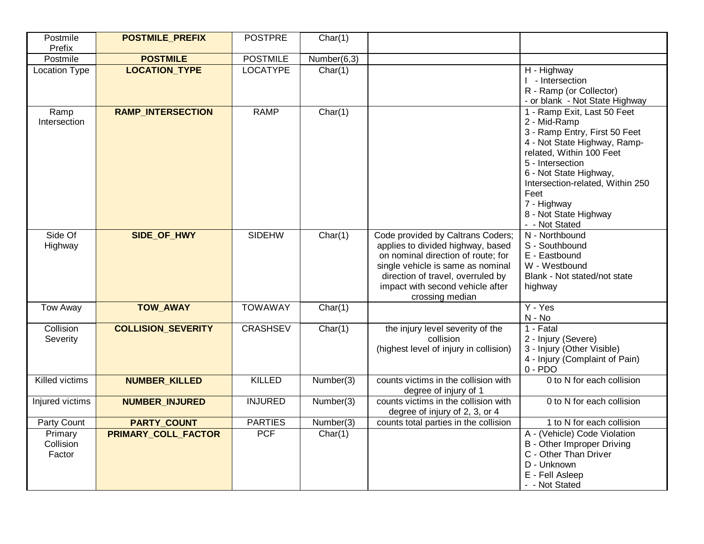| Postmile<br>Prefix             | <b>POSTMILE_PREFIX</b>     | <b>POSTPRE</b>  | Char(1)     |                                                                                                                                                                                                                                               |                                                                                                                                                                                                                                                                                              |
|--------------------------------|----------------------------|-----------------|-------------|-----------------------------------------------------------------------------------------------------------------------------------------------------------------------------------------------------------------------------------------------|----------------------------------------------------------------------------------------------------------------------------------------------------------------------------------------------------------------------------------------------------------------------------------------------|
| Postmile                       | <b>POSTMILE</b>            | <b>POSTMILE</b> | Number(6,3) |                                                                                                                                                                                                                                               |                                                                                                                                                                                                                                                                                              |
| <b>Location Type</b>           | <b>LOCATION TYPE</b>       | <b>LOCATYPE</b> | Char(1)     |                                                                                                                                                                                                                                               | H - Highway<br>I - Intersection<br>R - Ramp (or Collector)<br>- or blank - Not State Highway                                                                                                                                                                                                 |
| Ramp<br>Intersection           | <b>RAMP_INTERSECTION</b>   | <b>RAMP</b>     | Char(1)     |                                                                                                                                                                                                                                               | 1 - Ramp Exit, Last 50 Feet<br>2 - Mid-Ramp<br>3 - Ramp Entry, First 50 Feet<br>4 - Not State Highway, Ramp-<br>related, Within 100 Feet<br>5 - Intersection<br>6 - Not State Highway,<br>Intersection-related, Within 250<br>Feet<br>7 - Highway<br>8 - Not State Highway<br>- - Not Stated |
| Side Of<br>Highway             | SIDE_OF_HWY                | SIDEHW          | Char(1)     | Code provided by Caltrans Coders;<br>applies to divided highway, based<br>on nominal direction of route; for<br>single vehicle is same as nominal<br>direction of travel, overruled by<br>impact with second vehicle after<br>crossing median | N - Northbound<br>S - Southbound<br>E - Eastbound<br>W - Westbound<br>Blank - Not stated/not state<br>highway                                                                                                                                                                                |
| <b>Tow Away</b>                | <b>TOW_AWAY</b>            | <b>TOWAWAY</b>  | Char(1)     |                                                                                                                                                                                                                                               | Y - Yes<br>N - No                                                                                                                                                                                                                                                                            |
| Collision<br>Severity          | <b>COLLISION_SEVERITY</b>  | <b>CRASHSEV</b> | Char(1)     | the injury level severity of the<br>collision<br>(highest level of injury in collision)                                                                                                                                                       | $1 -$ Fatal<br>2 - Injury (Severe)<br>3 - Injury (Other Visible)<br>4 - Injury (Complaint of Pain)<br>$0 - PDO$                                                                                                                                                                              |
| Killed victims                 | <b>NUMBER_KILLED</b>       | <b>KILLED</b>   | Number(3)   | counts victims in the collision with<br>degree of injury of 1                                                                                                                                                                                 | 0 to N for each collision                                                                                                                                                                                                                                                                    |
| Injured victims                | <b>NUMBER_INJURED</b>      | <b>INJURED</b>  | Number(3)   | counts victims in the collision with<br>degree of injury of 2, 3, or 4                                                                                                                                                                        | 0 to N for each collision                                                                                                                                                                                                                                                                    |
| Party Count                    | <b>PARTY_COUNT</b>         | <b>PARTIES</b>  | Number(3)   | counts total parties in the collision                                                                                                                                                                                                         | 1 to N for each collision                                                                                                                                                                                                                                                                    |
| Primary<br>Collision<br>Factor | <b>PRIMARY_COLL_FACTOR</b> | <b>PCF</b>      | Char(1)     |                                                                                                                                                                                                                                               | A - (Vehicle) Code Violation<br>B - Other Improper Driving<br>C - Other Than Driver<br>D - Unknown<br>E - Fell Asleep<br>- - Not Stated                                                                                                                                                      |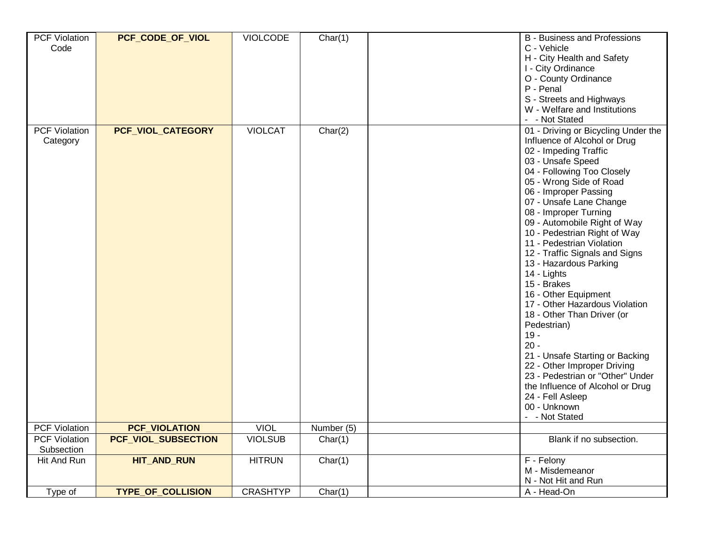| <b>PCF Violation</b><br>Code       | PCF_CODE_OF_VIOL         | <b>VIOLCODE</b> | Char(1)    | <b>B</b> - Business and Professions<br>C - Vehicle<br>H - City Health and Safety<br>I - City Ordinance<br>O - County Ordinance<br>P - Penal<br>S - Streets and Highways<br>W - Welfare and Institutions<br>- - Not Stated                                                                                                                                                                                                                                                                                                                                                                                                                                                                                                                                                 |
|------------------------------------|--------------------------|-----------------|------------|---------------------------------------------------------------------------------------------------------------------------------------------------------------------------------------------------------------------------------------------------------------------------------------------------------------------------------------------------------------------------------------------------------------------------------------------------------------------------------------------------------------------------------------------------------------------------------------------------------------------------------------------------------------------------------------------------------------------------------------------------------------------------|
| <b>PCF Violation</b><br>Category   | PCF_VIOL_CATEGORY        | <b>VIOLCAT</b>  | Char(2)    | 01 - Driving or Bicycling Under the<br>Influence of Alcohol or Drug<br>02 - Impeding Traffic<br>03 - Unsafe Speed<br>04 - Following Too Closely<br>05 - Wrong Side of Road<br>06 - Improper Passing<br>07 - Unsafe Lane Change<br>08 - Improper Turning<br>09 - Automobile Right of Way<br>10 - Pedestrian Right of Way<br>11 - Pedestrian Violation<br>12 - Traffic Signals and Signs<br>13 - Hazardous Parking<br>14 - Lights<br>15 - Brakes<br>16 - Other Equipment<br>17 - Other Hazardous Violation<br>18 - Other Than Driver (or<br>Pedestrian)<br>$19 -$<br>$20 -$<br>21 - Unsafe Starting or Backing<br>22 - Other Improper Driving<br>23 - Pedestrian or "Other" Under<br>the Influence of Alcohol or Drug<br>24 - Fell Asleep<br>00 - Unknown<br>- - Not Stated |
| <b>PCF Violation</b>               | <b>PCF_VIOLATION</b>     | <b>VIOL</b>     | Number (5) |                                                                                                                                                                                                                                                                                                                                                                                                                                                                                                                                                                                                                                                                                                                                                                           |
| <b>PCF Violation</b><br>Subsection | PCF VIOL SUBSECTION      | <b>VIOLSUB</b>  | Char(1)    | Blank if no subsection.                                                                                                                                                                                                                                                                                                                                                                                                                                                                                                                                                                                                                                                                                                                                                   |
| Hit And Run                        | <b>HIT AND RUN</b>       | <b>HITRUN</b>   | Char(1)    | F - Felony<br>M - Misdemeanor<br>N - Not Hit and Run                                                                                                                                                                                                                                                                                                                                                                                                                                                                                                                                                                                                                                                                                                                      |
| Type of                            | <b>TYPE OF COLLISION</b> | <b>CRASHTYP</b> | Char(1)    | A - Head-On                                                                                                                                                                                                                                                                                                                                                                                                                                                                                                                                                                                                                                                                                                                                                               |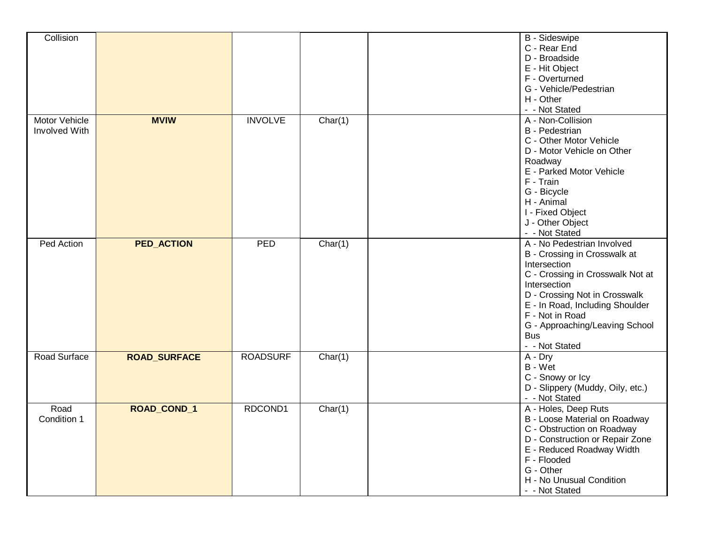| Collision                      |                     |                 |         | B - Sideswipe<br>C - Rear End<br>D - Broadside<br>E - Hit Object<br>F - Overturned<br>G - Vehicle/Pedestrian<br>H - Other<br>- - Not Stated                                                                                                                                             |
|--------------------------------|---------------------|-----------------|---------|-----------------------------------------------------------------------------------------------------------------------------------------------------------------------------------------------------------------------------------------------------------------------------------------|
| Motor Vehicle<br>Involved With | <b>MVIW</b>         | <b>INVOLVE</b>  | Char(1) | A - Non-Collision<br><b>B</b> - Pedestrian<br>C - Other Motor Vehicle<br>D - Motor Vehicle on Other<br>Roadway<br>E - Parked Motor Vehicle<br>F - Train<br>G - Bicycle<br>H - Animal<br>I - Fixed Object<br>J - Other Object<br>- - Not Stated                                          |
| Ped Action                     | <b>PED_ACTION</b>   | PED             | Char(1) | A - No Pedestrian Involved<br>B - Crossing in Crosswalk at<br>Intersection<br>C - Crossing in Crosswalk Not at<br>Intersection<br>D - Crossing Not in Crosswalk<br>E - In Road, Including Shoulder<br>F - Not in Road<br>G - Approaching/Leaving School<br><b>Bus</b><br>- - Not Stated |
| Road Surface                   | <b>ROAD_SURFACE</b> | <b>ROADSURF</b> | Char(1) | $A - Dry$<br>B - Wet<br>C - Snowy or Icy<br>D - Slippery (Muddy, Oily, etc.)<br>- - Not Stated                                                                                                                                                                                          |
| Road<br>Condition 1            | ROAD_COND_1         | RDCOND1         | Char(1) | A - Holes, Deep Ruts<br>B - Loose Material on Roadway<br>C - Obstruction on Roadway<br>D - Construction or Repair Zone<br>E - Reduced Roadway Width<br>F - Flooded<br>G - Other<br>H - No Unusual Condition<br>- - Not Stated                                                           |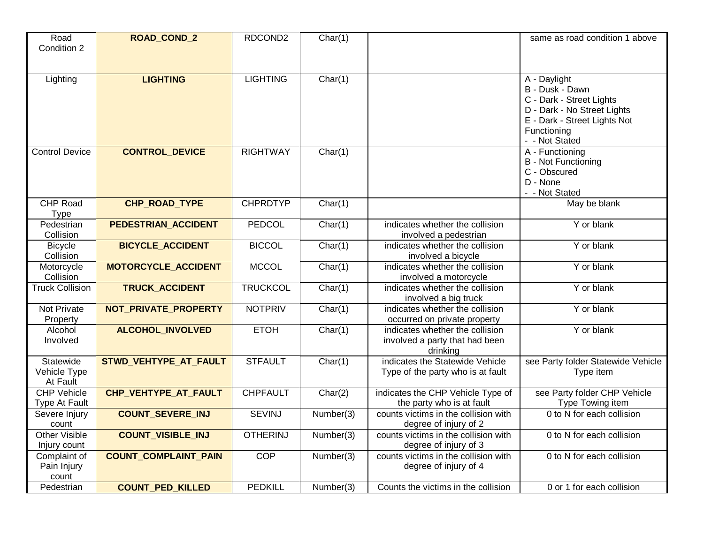| Road<br>Condition 2                   | ROAD_COND_2                 | RDCOND2         | Char(1)   |                                                                                             | same as road condition 1 above                                                                                                                              |
|---------------------------------------|-----------------------------|-----------------|-----------|---------------------------------------------------------------------------------------------|-------------------------------------------------------------------------------------------------------------------------------------------------------------|
| Lighting                              | <b>LIGHTING</b>             | <b>LIGHTING</b> | Char(1)   |                                                                                             | A - Daylight<br>B - Dusk - Dawn<br>C - Dark - Street Lights<br>D - Dark - No Street Lights<br>E - Dark - Street Lights Not<br>Functioning<br>- - Not Stated |
| <b>Control Device</b>                 | <b>CONTROL DEVICE</b>       | <b>RIGHTWAY</b> | Char(1)   |                                                                                             | A - Functioning<br><b>B</b> - Not Functioning<br>C - Obscured<br>D - None<br>- - Not Stated                                                                 |
| <b>CHP Road</b><br>Type               | CHP_ROAD_TYPE               | <b>CHPRDTYP</b> | Char(1)   |                                                                                             | May be blank                                                                                                                                                |
| Pedestrian<br>Collision               | PEDESTRIAN_ACCIDENT         | PEDCOL          | Char(1)   | Y or blank<br>indicates whether the collision<br>involved a pedestrian                      |                                                                                                                                                             |
| <b>Bicycle</b><br>Collision           | <b>BICYCLE_ACCIDENT</b>     | <b>BICCOL</b>   | Char(1)   | Y or blank<br>indicates whether the collision<br>involved a bicycle                         |                                                                                                                                                             |
| Motorcycle<br>Collision               | <b>MOTORCYCLE ACCIDENT</b>  | <b>MCCOL</b>    | Char(1)   | indicates whether the collision<br>involved a motorcycle                                    | Y or blank                                                                                                                                                  |
| <b>Truck Collision</b>                | <b>TRUCK_ACCIDENT</b>       | <b>TRUCKCOL</b> | Char(1)   | indicates whether the collision<br>involved a big truck                                     | Y or blank                                                                                                                                                  |
| Not Private<br>Property               | NOT_PRIVATE_PROPERTY        | <b>NOTPRIV</b>  | Char(1)   | indicates whether the collision<br>occurred on private property                             | Y or blank                                                                                                                                                  |
| Alcohol<br>Involved                   | <b>ALCOHOL INVOLVED</b>     | <b>ETOH</b>     | Char(1)   | indicates whether the collision<br>Y or blank<br>involved a party that had been<br>drinking |                                                                                                                                                             |
| Statewide<br>Vehicle Type<br>At Fault | STWD VEHTYPE AT FAULT       | <b>STFAULT</b>  | Char(1)   | indicates the Statewide Vehicle<br>Type of the party who is at fault                        | see Party folder Statewide Vehicle<br>Type item                                                                                                             |
| <b>CHP Vehicle</b><br>Type At Fault   | CHP VEHTYPE AT FAULT        | <b>CHPFAULT</b> | Char(2)   | indicates the CHP Vehicle Type of<br>the party who is at fault                              | see Party folder CHP Vehicle<br>Type Towing item                                                                                                            |
| Severe Injury<br>count                | <b>COUNT_SEVERE_INJ</b>     | <b>SEVINJ</b>   | Number(3) | counts victims in the collision with<br>degree of injury of 2                               | 0 to N for each collision                                                                                                                                   |
| <b>Other Visible</b><br>Injury count  | <b>COUNT_VISIBLE_INJ</b>    | <b>OTHERINJ</b> | Number(3) | counts victims in the collision with<br>degree of injury of 3                               | 0 to N for each collision                                                                                                                                   |
| Complaint of<br>Pain Injury<br>count  | <b>COUNT_COMPLAINT_PAIN</b> | COP             | Number(3) | counts victims in the collision with<br>degree of injury of 4                               | 0 to N for each collision                                                                                                                                   |
| Pedestrian                            | <b>COUNT_PED_KILLED</b>     | <b>PEDKILL</b>  | Number(3) | Counts the victims in the collision                                                         | 0 or 1 for each collision                                                                                                                                   |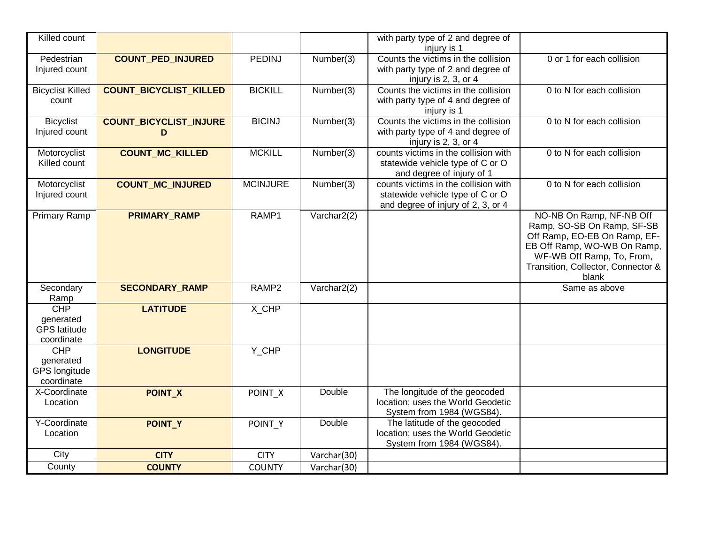| Killed count                                                  |                                    |                 |                               | with party type of 2 and degree of<br>injury is 1                                                              |                                                                                                                                                                                                   |
|---------------------------------------------------------------|------------------------------------|-----------------|-------------------------------|----------------------------------------------------------------------------------------------------------------|---------------------------------------------------------------------------------------------------------------------------------------------------------------------------------------------------|
| Pedestrian<br>Injured count                                   | <b>COUNT PED INJURED</b>           | <b>PEDINJ</b>   | Number(3)                     | Counts the victims in the collision<br>with party type of 2 and degree of<br>injury is 2, 3, or 4              | 0 or 1 for each collision                                                                                                                                                                         |
| <b>Bicyclist Killed</b><br>count                              | <b>COUNT_BICYCLIST_KILLED</b>      | <b>BICKILL</b>  | Number(3)                     | Counts the victims in the collision<br>with party type of 4 and degree of<br>injury is 1                       | 0 to N for each collision                                                                                                                                                                         |
| <b>Bicyclist</b><br>Injured count                             | <b>COUNT_BICYCLIST_INJURE</b><br>D | <b>BICINJ</b>   | Number(3)                     | Counts the victims in the collision<br>with party type of 4 and degree of<br>injury is 2, 3, or 4              | 0 to N for each collision                                                                                                                                                                         |
| Motorcyclist<br>Killed count                                  | <b>COUNT_MC_KILLED</b>             | <b>MCKILL</b>   | $\overline{\text{Number}}(3)$ | counts victims in the collision with<br>statewide vehicle type of C or O<br>and degree of injury of 1          | 0 to N for each collision                                                                                                                                                                         |
| Motorcyclist<br>Injured count                                 | <b>COUNT_MC_INJURED</b>            | <b>MCINJURE</b> | Number(3)                     | counts victims in the collision with<br>statewide vehicle type of C or O<br>and degree of injury of 2, 3, or 4 | 0 to N for each collision                                                                                                                                                                         |
| Primary Ramp                                                  | <b>PRIMARY RAMP</b>                | RAMP1           | Varchar2(2)                   |                                                                                                                | NO-NB On Ramp, NF-NB Off<br>Ramp, SO-SB On Ramp, SF-SB<br>Off Ramp, EO-EB On Ramp, EF-<br>EB Off Ramp, WO-WB On Ramp,<br>WF-WB Off Ramp, To, From,<br>Transition, Collector, Connector &<br>blank |
| Secondary<br>Ramp                                             | <b>SECONDARY_RAMP</b>              | RAMP2           | Varchar2(2)                   |                                                                                                                | Same as above                                                                                                                                                                                     |
| <b>CHP</b><br>generated<br><b>GPS</b> latitude<br>coordinate  | <b>LATITUDE</b>                    | X_CHP           |                               |                                                                                                                |                                                                                                                                                                                                   |
| <b>CHP</b><br>generated<br><b>GPS</b> longitude<br>coordinate | <b>LONGITUDE</b>                   | Y_CHP           |                               |                                                                                                                |                                                                                                                                                                                                   |
| X-Coordinate<br>Location                                      | POINT_X                            | POINT_X         | Double                        | The longitude of the geocoded<br>location; uses the World Geodetic<br>System from 1984 (WGS84).                |                                                                                                                                                                                                   |
| Y-Coordinate<br>Location                                      | POINT_Y                            | POINT Y         | Double                        | The latitude of the geocoded<br>location; uses the World Geodetic<br>System from 1984 (WGS84).                 |                                                                                                                                                                                                   |
| City                                                          | <b>CITY</b>                        | <b>CITY</b>     | Varchar(30)                   |                                                                                                                |                                                                                                                                                                                                   |
| County                                                        | <b>COUNTY</b>                      | <b>COUNTY</b>   | Varchar(30)                   |                                                                                                                |                                                                                                                                                                                                   |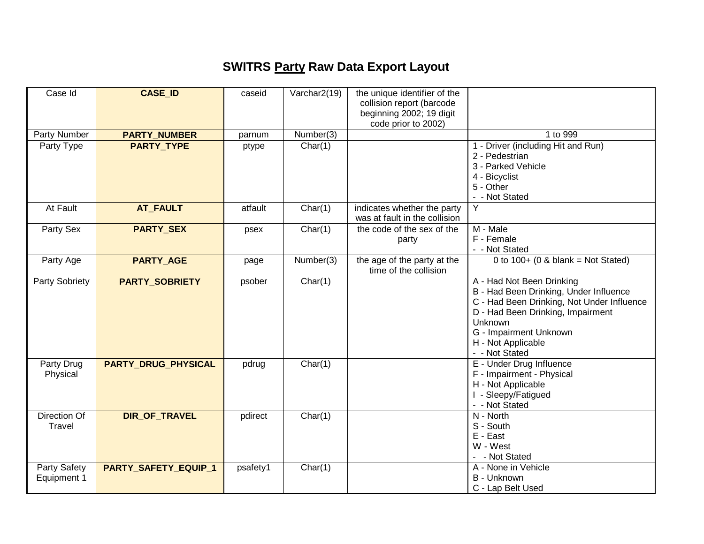## **SWITRS Party Raw Data Export Layout**

| Case Id                     | <b>CASE_ID</b>             | caseid   | Varchar2(19) | the unique identifier of the<br>collision report (barcode<br>beginning 2002; 19 digit<br>code prior to 2002) |                                                                                                                                                                                                                                     |
|-----------------------------|----------------------------|----------|--------------|--------------------------------------------------------------------------------------------------------------|-------------------------------------------------------------------------------------------------------------------------------------------------------------------------------------------------------------------------------------|
| Party Number                | <b>PARTY_NUMBER</b>        | parnum   | Number(3)    |                                                                                                              | 1 to 999                                                                                                                                                                                                                            |
| Party Type                  | <b>PARTY_TYPE</b>          | ptype    | Char(1)      |                                                                                                              | 1 - Driver (including Hit and Run)<br>2 - Pedestrian<br>3 - Parked Vehicle<br>4 - Bicyclist<br>5 - Other<br>- - Not Stated                                                                                                          |
| At Fault                    | <b>AT_FAULT</b>            | atfault  | Char(1)      | indicates whether the party<br>was at fault in the collision                                                 | Y                                                                                                                                                                                                                                   |
| Party Sex                   | <b>PARTY_SEX</b>           | psex     | Char(1)      | the code of the sex of the<br>party                                                                          | M - Male<br>F - Female<br>- - Not Stated                                                                                                                                                                                            |
| Party Age                   | <b>PARTY_AGE</b>           | page     | Number(3)    | the age of the party at the<br>time of the collision                                                         | 0 to $100+ (0 \& \text{blank} = \text{Not Stated})$                                                                                                                                                                                 |
| Party Sobriety              | <b>PARTY SOBRIETY</b>      | psober   | Char(1)      |                                                                                                              | A - Had Not Been Drinking<br>B - Had Been Drinking, Under Influence<br>C - Had Been Drinking, Not Under Influence<br>D - Had Been Drinking, Impairment<br>Unknown<br>G - Impairment Unknown<br>H - Not Applicable<br>- - Not Stated |
| Party Drug<br>Physical      | <b>PARTY DRUG PHYSICAL</b> | pdrug    | Char(1)      |                                                                                                              | E - Under Drug Influence<br>F - Impairment - Physical<br>H - Not Applicable<br>I - Sleepy/Fatigued<br>- - Not Stated                                                                                                                |
| Direction Of<br>Travel      | DIR_OF_TRAVEL              | pdirect  | Char(1)      |                                                                                                              | N - North<br>S - South<br>E - East<br>W - West<br>- Not Stated                                                                                                                                                                      |
| Party Safety<br>Equipment 1 | PARTY_SAFETY_EQUIP_1       | psafety1 | Char(1)      |                                                                                                              | A - None in Vehicle<br>B - Unknown<br>C - Lap Belt Used                                                                                                                                                                             |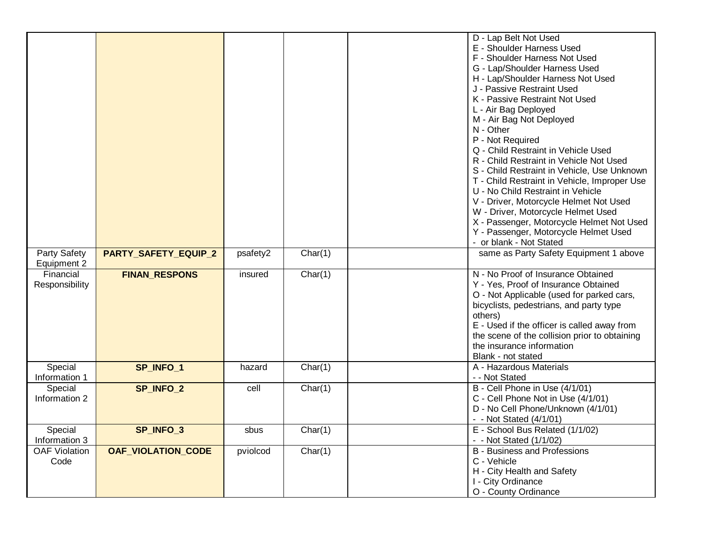|                          |                           |          |         | D - Lap Belt Not Used                                                      |
|--------------------------|---------------------------|----------|---------|----------------------------------------------------------------------------|
|                          |                           |          |         | E - Shoulder Harness Used                                                  |
|                          |                           |          |         | F - Shoulder Harness Not Used                                              |
|                          |                           |          |         | G - Lap/Shoulder Harness Used                                              |
|                          |                           |          |         | H - Lap/Shoulder Harness Not Used                                          |
|                          |                           |          |         | J - Passive Restraint Used                                                 |
|                          |                           |          |         | K - Passive Restraint Not Used                                             |
|                          |                           |          |         | L - Air Bag Deployed                                                       |
|                          |                           |          |         | M - Air Bag Not Deployed                                                   |
|                          |                           |          |         | N - Other                                                                  |
|                          |                           |          |         | P - Not Required                                                           |
|                          |                           |          |         | Q - Child Restraint in Vehicle Used                                        |
|                          |                           |          |         | R - Child Restraint in Vehicle Not Used                                    |
|                          |                           |          |         | S - Child Restraint in Vehicle, Use Unknown                                |
|                          |                           |          |         | T - Child Restraint in Vehicle, Improper Use                               |
|                          |                           |          |         | U - No Child Restraint in Vehicle                                          |
|                          |                           |          |         | V - Driver, Motorcycle Helmet Not Used                                     |
|                          |                           |          |         | W - Driver, Motorcycle Helmet Used                                         |
|                          |                           |          |         | X - Passenger, Motorcycle Helmet Not Used                                  |
|                          |                           |          |         | Y - Passenger, Motorcycle Helmet Used                                      |
|                          |                           |          |         | - or blank - Not Stated                                                    |
|                          |                           |          |         |                                                                            |
| Party Safety             | PARTY_SAFETY_EQUIP_2      | psafety2 | Char(1) | same as Party Safety Equipment 1 above                                     |
| Equipment 2<br>Financial |                           |          |         | N - No Proof of Insurance Obtained                                         |
|                          | <b>FINAN_RESPONS</b>      | insured  | Char(1) | Y - Yes, Proof of Insurance Obtained                                       |
| Responsibility           |                           |          |         |                                                                            |
|                          |                           |          |         | O - Not Applicable (used for parked cars,                                  |
|                          |                           |          |         | bicyclists, pedestrians, and party type                                    |
|                          |                           |          |         | others)                                                                    |
|                          |                           |          |         | E - Used if the officer is called away from                                |
|                          |                           |          |         | the scene of the collision prior to obtaining<br>the insurance information |
|                          |                           |          |         |                                                                            |
|                          |                           |          |         | Blank - not stated                                                         |
| Special                  | SP_INFO_1                 | hazard   | Char(1) | A - Hazardous Materials                                                    |
| Information 1            |                           |          |         | - - Not Stated                                                             |
| Special                  | SP_INFO_2                 | cell     | Char(1) | B - Cell Phone in Use (4/1/01)                                             |
| Information 2            |                           |          |         | C - Cell Phone Not in Use (4/1/01)                                         |
|                          |                           |          |         | D - No Cell Phone/Unknown (4/1/01)                                         |
|                          |                           |          |         | - - Not Stated (4/1/01)                                                    |
| Special                  | SP_INFO_3                 | sbus     | Char(1) | E - School Bus Related (1/1/02)                                            |
| Information 3            |                           |          |         | - - Not Stated (1/1/02)                                                    |
| <b>OAF Violation</b>     | <b>OAF_VIOLATION_CODE</b> | pviolcod | Char(1) | <b>B</b> - Business and Professions                                        |
| Code                     |                           |          |         | C - Vehicle                                                                |
|                          |                           |          |         | H - City Health and Safety                                                 |
|                          |                           |          |         | I - City Ordinance                                                         |
|                          |                           |          |         | O - County Ordinance                                                       |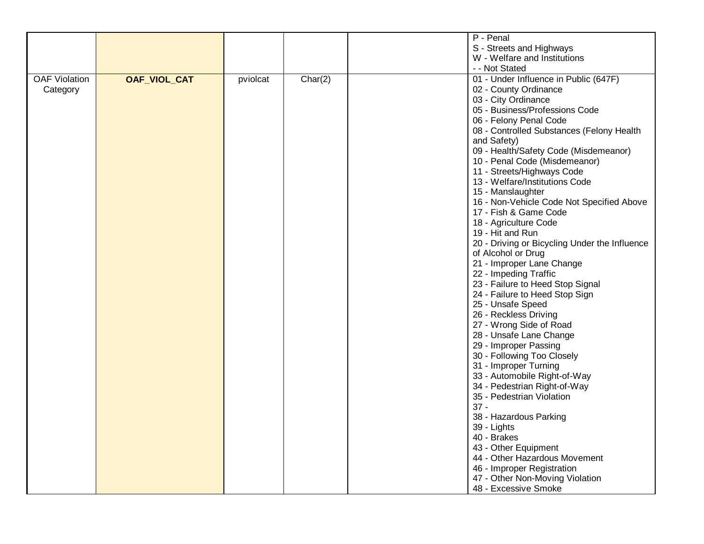|                      |                     |          |         | P - Penal                                     |
|----------------------|---------------------|----------|---------|-----------------------------------------------|
|                      |                     |          |         | S - Streets and Highways                      |
|                      |                     |          |         | W - Welfare and Institutions                  |
|                      |                     |          |         |                                               |
|                      |                     |          |         | - - Not Stated                                |
| <b>OAF Violation</b> | <b>OAF_VIOL_CAT</b> | pviolcat | Char(2) | 01 - Under Influence in Public (647F)         |
| Category             |                     |          |         | 02 - County Ordinance                         |
|                      |                     |          |         | 03 - City Ordinance                           |
|                      |                     |          |         | 05 - Business/Professions Code                |
|                      |                     |          |         | 06 - Felony Penal Code                        |
|                      |                     |          |         | 08 - Controlled Substances (Felony Health     |
|                      |                     |          |         | and Safety)                                   |
|                      |                     |          |         | 09 - Health/Safety Code (Misdemeanor)         |
|                      |                     |          |         | 10 - Penal Code (Misdemeanor)                 |
|                      |                     |          |         | 11 - Streets/Highways Code                    |
|                      |                     |          |         |                                               |
|                      |                     |          |         | 13 - Welfare/Institutions Code                |
|                      |                     |          |         | 15 - Manslaughter                             |
|                      |                     |          |         | 16 - Non-Vehicle Code Not Specified Above     |
|                      |                     |          |         | 17 - Fish & Game Code                         |
|                      |                     |          |         | 18 - Agriculture Code                         |
|                      |                     |          |         | 19 - Hit and Run                              |
|                      |                     |          |         | 20 - Driving or Bicycling Under the Influence |
|                      |                     |          |         | of Alcohol or Drug                            |
|                      |                     |          |         | 21 - Improper Lane Change                     |
|                      |                     |          |         | 22 - Impeding Traffic                         |
|                      |                     |          |         | 23 - Failure to Heed Stop Signal              |
|                      |                     |          |         | 24 - Failure to Heed Stop Sign                |
|                      |                     |          |         | 25 - Unsafe Speed                             |
|                      |                     |          |         | 26 - Reckless Driving                         |
|                      |                     |          |         | 27 - Wrong Side of Road                       |
|                      |                     |          |         |                                               |
|                      |                     |          |         | 28 - Unsafe Lane Change                       |
|                      |                     |          |         | 29 - Improper Passing                         |
|                      |                     |          |         | 30 - Following Too Closely                    |
|                      |                     |          |         | 31 - Improper Turning                         |
|                      |                     |          |         | 33 - Automobile Right-of-Way                  |
|                      |                     |          |         | 34 - Pedestrian Right-of-Way                  |
|                      |                     |          |         | 35 - Pedestrian Violation                     |
|                      |                     |          |         | $37 -$                                        |
|                      |                     |          |         | 38 - Hazardous Parking                        |
|                      |                     |          |         | 39 - Lights                                   |
|                      |                     |          |         | 40 - Brakes                                   |
|                      |                     |          |         | 43 - Other Equipment                          |
|                      |                     |          |         | 44 - Other Hazardous Movement                 |
|                      |                     |          |         | 46 - Improper Registration                    |
|                      |                     |          |         |                                               |
|                      |                     |          |         | 47 - Other Non-Moving Violation               |
|                      |                     |          |         | 48 - Excessive Smoke                          |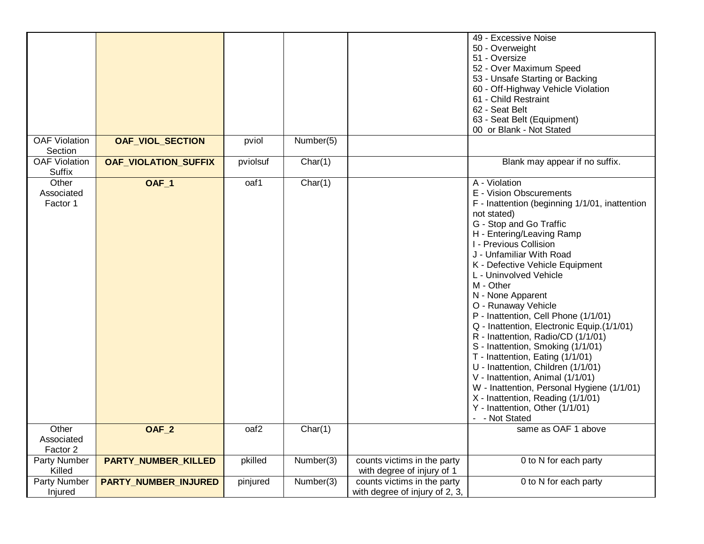|                                 |                             |                  |           |                                | 49 - Excessive Noise                           |
|---------------------------------|-----------------------------|------------------|-----------|--------------------------------|------------------------------------------------|
|                                 |                             |                  |           |                                | 50 - Overweight                                |
|                                 |                             |                  |           |                                | 51 - Oversize                                  |
|                                 |                             |                  |           |                                | 52 - Over Maximum Speed                        |
|                                 |                             |                  |           |                                | 53 - Unsafe Starting or Backing                |
|                                 |                             |                  |           |                                | 60 - Off-Highway Vehicle Violation             |
|                                 |                             |                  |           |                                | 61 - Child Restraint                           |
|                                 |                             |                  |           |                                | 62 - Seat Belt                                 |
|                                 |                             |                  |           |                                |                                                |
|                                 |                             |                  |           |                                | 63 - Seat Belt (Equipment)                     |
|                                 |                             |                  |           |                                | 00 or Blank - Not Stated                       |
| <b>OAF Violation</b><br>Section | <b>OAF_VIOL_SECTION</b>     | pviol            | Number(5) |                                |                                                |
| <b>OAF Violation</b>            | <b>OAF_VIOLATION_SUFFIX</b> | pviolsuf         | Char(1)   |                                | Blank may appear if no suffix.                 |
| <b>Suffix</b>                   |                             |                  |           |                                |                                                |
| Other                           | <b>OAF_1</b>                | oaf1             | Char(1)   |                                | A - Violation                                  |
| Associated                      |                             |                  |           |                                | E - Vision Obscurements                        |
| Factor 1                        |                             |                  |           |                                | F - Inattention (beginning 1/1/01, inattention |
|                                 |                             |                  |           |                                | not stated)                                    |
|                                 |                             |                  |           |                                | G - Stop and Go Traffic                        |
|                                 |                             |                  |           |                                | H - Entering/Leaving Ramp                      |
|                                 |                             |                  |           |                                | I - Previous Collision                         |
|                                 |                             |                  |           |                                | J - Unfamiliar With Road                       |
|                                 |                             |                  |           |                                | K - Defective Vehicle Equipment                |
|                                 |                             |                  |           |                                | L - Uninvolved Vehicle                         |
|                                 |                             |                  |           |                                | M - Other                                      |
|                                 |                             |                  |           |                                |                                                |
|                                 |                             |                  |           |                                | N - None Apparent                              |
|                                 |                             |                  |           |                                | O - Runaway Vehicle                            |
|                                 |                             |                  |           |                                | P - Inattention, Cell Phone (1/1/01)           |
|                                 |                             |                  |           |                                | Q - Inattention, Electronic Equip.(1/1/01)     |
|                                 |                             |                  |           |                                | R - Inattention, Radio/CD (1/1/01)             |
|                                 |                             |                  |           |                                | S - Inattention, Smoking (1/1/01)              |
|                                 |                             |                  |           |                                | T - Inattention, Eating (1/1/01)               |
|                                 |                             |                  |           |                                | U - Inattention, Children (1/1/01)             |
|                                 |                             |                  |           |                                | V - Inattention, Animal (1/1/01)               |
|                                 |                             |                  |           |                                | W - Inattention, Personal Hygiene (1/1/01)     |
|                                 |                             |                  |           |                                | X - Inattention, Reading (1/1/01)              |
|                                 |                             |                  |           |                                | Y - Inattention, Other (1/1/01)                |
|                                 |                             |                  |           |                                | - - Not Stated                                 |
| Other                           | OAF <sub>_2</sub>           | oaf <sub>2</sub> | Char(1)   |                                | same as OAF 1 above                            |
| Associated                      |                             |                  |           |                                |                                                |
| Factor 2                        |                             |                  |           |                                |                                                |
| Party Number                    | <b>PARTY_NUMBER_KILLED</b>  | pkilled          | Number(3) | counts victims in the party    | 0 to N for each party                          |
| Killed                          |                             |                  |           | with degree of injury of 1     |                                                |
|                                 |                             |                  |           |                                |                                                |
| Party Number                    | <b>PARTY_NUMBER_INJURED</b> | pinjured         | Number(3) | counts victims in the party    | 0 to N for each party                          |
| Injured                         |                             |                  |           | with degree of injury of 2, 3, |                                                |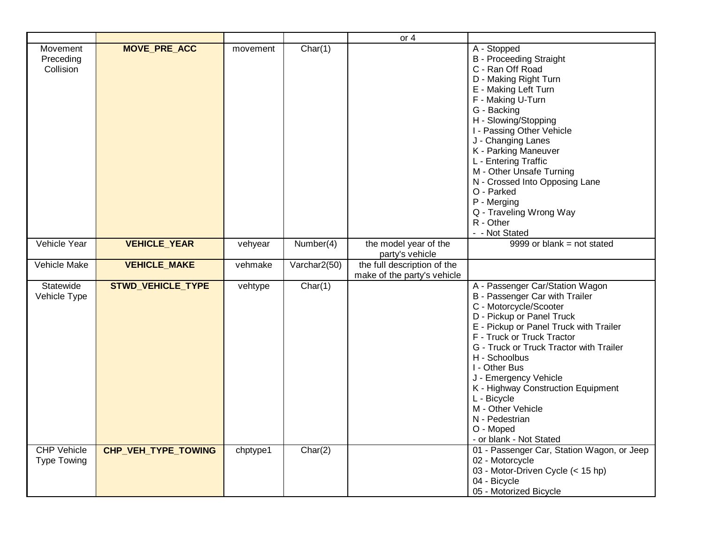|                                          |                            |          |              | or $4$                                                     |                                                                                                                                                                                                                                                                                                                                                                                                                                            |
|------------------------------------------|----------------------------|----------|--------------|------------------------------------------------------------|--------------------------------------------------------------------------------------------------------------------------------------------------------------------------------------------------------------------------------------------------------------------------------------------------------------------------------------------------------------------------------------------------------------------------------------------|
| Movement<br>Preceding<br>Collision       | <b>MOVE_PRE_ACC</b>        | movement | Char(1)      |                                                            | A - Stopped<br><b>B</b> - Proceeding Straight<br>C - Ran Off Road<br>D - Making Right Turn<br>E - Making Left Turn<br>F - Making U-Turn<br>G - Backing<br>H - Slowing/Stopping<br>I - Passing Other Vehicle<br>J - Changing Lanes<br>K - Parking Maneuver<br>L - Entering Traffic<br>M - Other Unsafe Turning<br>N - Crossed Into Opposing Lane<br>O - Parked<br>P - Merging<br>Q - Traveling Wrong Way<br>R - Other<br>- - Not Stated     |
| Vehicle Year                             | <b>VEHICLE_YEAR</b>        | vehyear  | Number(4)    | the model year of the<br>party's vehicle                   | $9999$ or blank = not stated                                                                                                                                                                                                                                                                                                                                                                                                               |
| Vehicle Make                             | <b>VEHICLE_MAKE</b>        | vehmake  | Varchar2(50) | the full description of the<br>make of the party's vehicle |                                                                                                                                                                                                                                                                                                                                                                                                                                            |
| Statewide<br>Vehicle Type                | <b>STWD_VEHICLE_TYPE</b>   | vehtype  | Char(1)      |                                                            | A - Passenger Car/Station Wagon<br>B - Passenger Car with Trailer<br>C - Motorcycle/Scooter<br>D - Pickup or Panel Truck<br>E - Pickup or Panel Truck with Trailer<br>F - Truck or Truck Tractor<br>G - Truck or Truck Tractor with Trailer<br>H - Schoolbus<br>I - Other Bus<br>J - Emergency Vehicle<br>K - Highway Construction Equipment<br>L - Bicycle<br>M - Other Vehicle<br>N - Pedestrian<br>O - Moped<br>- or blank - Not Stated |
| <b>CHP Vehicle</b><br><b>Type Towing</b> | <b>CHP VEH TYPE TOWING</b> | chptype1 | Char(2)      |                                                            | 01 - Passenger Car, Station Wagon, or Jeep<br>02 - Motorcycle<br>03 - Motor-Driven Cycle (< 15 hp)<br>04 - Bicycle<br>05 - Motorized Bicycle                                                                                                                                                                                                                                                                                               |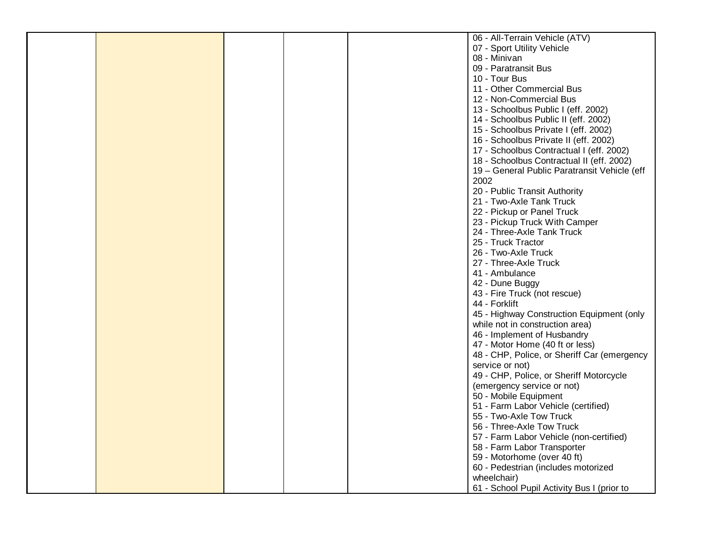|  |  | 06 - All-Terrain Vehicle (ATV)                                               |
|--|--|------------------------------------------------------------------------------|
|  |  | 07 - Sport Utility Vehicle                                                   |
|  |  | 08 - Minivan                                                                 |
|  |  | 09 - Paratransit Bus                                                         |
|  |  | 10 - Tour Bus                                                                |
|  |  | 11 - Other Commercial Bus                                                    |
|  |  | 12 - Non-Commercial Bus                                                      |
|  |  | 13 - Schoolbus Public I (eff. 2002)                                          |
|  |  |                                                                              |
|  |  | 14 - Schoolbus Public II (eff. 2002)<br>15 - Schoolbus Private I (eff. 2002) |
|  |  |                                                                              |
|  |  | 16 - Schoolbus Private II (eff. 2002)                                        |
|  |  | 17 - Schoolbus Contractual I (eff. 2002)                                     |
|  |  | 18 - Schoolbus Contractual II (eff. 2002)                                    |
|  |  | 19 - General Public Paratransit Vehicle (eff                                 |
|  |  | 2002                                                                         |
|  |  | 20 - Public Transit Authority                                                |
|  |  | 21 - Two-Axle Tank Truck                                                     |
|  |  | 22 - Pickup or Panel Truck                                                   |
|  |  | 23 - Pickup Truck With Camper                                                |
|  |  | 24 - Three-Axle Tank Truck                                                   |
|  |  | 25 - Truck Tractor                                                           |
|  |  | 26 - Two-Axle Truck                                                          |
|  |  | 27 - Three-Axle Truck                                                        |
|  |  | 41 - Ambulance                                                               |
|  |  | 42 - Dune Buggy                                                              |
|  |  | 43 - Fire Truck (not rescue)                                                 |
|  |  | 44 - Forklift                                                                |
|  |  | 45 - Highway Construction Equipment (only                                    |
|  |  | while not in construction area)                                              |
|  |  | 46 - Implement of Husbandry                                                  |
|  |  | 47 - Motor Home (40 ft or less)                                              |
|  |  | 48 - CHP, Police, or Sheriff Car (emergency                                  |
|  |  | service or not)                                                              |
|  |  | 49 - CHP, Police, or Sheriff Motorcycle                                      |
|  |  | (emergency service or not)                                                   |
|  |  | 50 - Mobile Equipment                                                        |
|  |  | 51 - Farm Labor Vehicle (certified)                                          |
|  |  | 55 - Two-Axle Tow Truck                                                      |
|  |  | 56 - Three-Axle Tow Truck                                                    |
|  |  | 57 - Farm Labor Vehicle (non-certified)                                      |
|  |  | 58 - Farm Labor Transporter                                                  |
|  |  | 59 - Motorhome (over 40 ft)                                                  |
|  |  | 60 - Pedestrian (includes motorized                                          |
|  |  | wheelchair)                                                                  |
|  |  |                                                                              |
|  |  | 61 - School Pupil Activity Bus I (prior to                                   |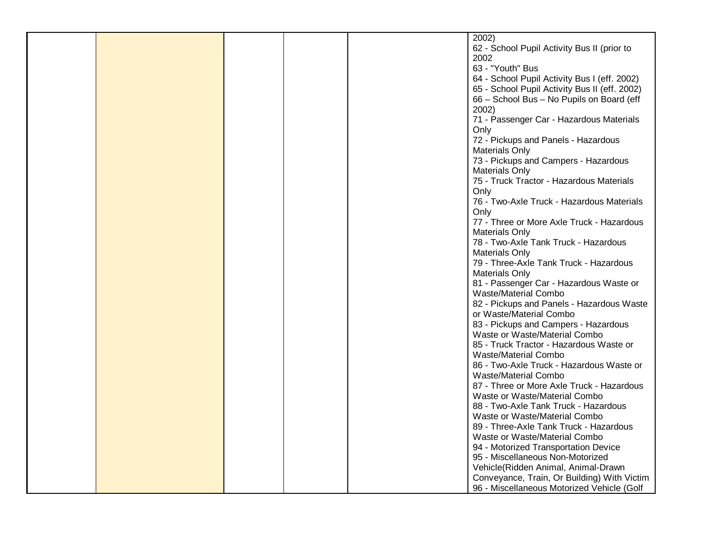|  |  | 2002)                                         |
|--|--|-----------------------------------------------|
|  |  |                                               |
|  |  | 62 - School Pupil Activity Bus II (prior to   |
|  |  | 2002                                          |
|  |  | 63 - "Youth" Bus                              |
|  |  | 64 - School Pupil Activity Bus I (eff. 2002)  |
|  |  | 65 - School Pupil Activity Bus II (eff. 2002) |
|  |  | 66 - School Bus - No Pupils on Board (eff     |
|  |  | 2002)                                         |
|  |  | 71 - Passenger Car - Hazardous Materials      |
|  |  | Only                                          |
|  |  | 72 - Pickups and Panels - Hazardous           |
|  |  |                                               |
|  |  | <b>Materials Only</b>                         |
|  |  | 73 - Pickups and Campers - Hazardous          |
|  |  | <b>Materials Only</b>                         |
|  |  | 75 - Truck Tractor - Hazardous Materials      |
|  |  | Only                                          |
|  |  | 76 - Two-Axle Truck - Hazardous Materials     |
|  |  | Only                                          |
|  |  | 77 - Three or More Axle Truck - Hazardous     |
|  |  | <b>Materials Only</b>                         |
|  |  | 78 - Two-Axle Tank Truck - Hazardous          |
|  |  | <b>Materials Only</b>                         |
|  |  | 79 - Three-Axle Tank Truck - Hazardous        |
|  |  |                                               |
|  |  | <b>Materials Only</b>                         |
|  |  | 81 - Passenger Car - Hazardous Waste or       |
|  |  | Waste/Material Combo                          |
|  |  | 82 - Pickups and Panels - Hazardous Waste     |
|  |  | or Waste/Material Combo                       |
|  |  | 83 - Pickups and Campers - Hazardous          |
|  |  | Waste or Waste/Material Combo                 |
|  |  | 85 - Truck Tractor - Hazardous Waste or       |
|  |  | Waste/Material Combo                          |
|  |  | 86 - Two-Axle Truck - Hazardous Waste or      |
|  |  | Waste/Material Combo                          |
|  |  | 87 - Three or More Axle Truck - Hazardous     |
|  |  | Waste or Waste/Material Combo                 |
|  |  | 88 - Two-Axle Tank Truck - Hazardous          |
|  |  |                                               |
|  |  | Waste or Waste/Material Combo                 |
|  |  | 89 - Three-Axle Tank Truck - Hazardous        |
|  |  | Waste or Waste/Material Combo                 |
|  |  | 94 - Motorized Transportation Device          |
|  |  | 95 - Miscellaneous Non-Motorized              |
|  |  | Vehicle(Ridden Animal, Animal-Drawn           |
|  |  | Conveyance, Train, Or Building) With Victim   |
|  |  | 96 - Miscellaneous Motorized Vehicle (Golf    |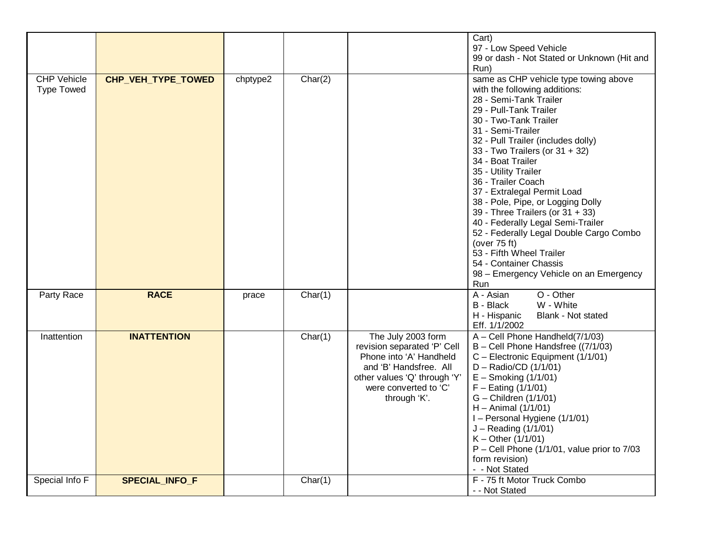|                                         |                    |          |         |                                                                                                                                                                                 | Cart)<br>97 - Low Speed Vehicle<br>99 or dash - Not Stated or Unknown (Hit and<br>Run)                                                                                                                                                                                                                                                                                                                                                                                                                                                                                                                                             |
|-----------------------------------------|--------------------|----------|---------|---------------------------------------------------------------------------------------------------------------------------------------------------------------------------------|------------------------------------------------------------------------------------------------------------------------------------------------------------------------------------------------------------------------------------------------------------------------------------------------------------------------------------------------------------------------------------------------------------------------------------------------------------------------------------------------------------------------------------------------------------------------------------------------------------------------------------|
| <b>CHP Vehicle</b><br><b>Type Towed</b> | CHP_VEH_TYPE_TOWED | chptype2 | Char(2) |                                                                                                                                                                                 | same as CHP vehicle type towing above<br>with the following additions:<br>28 - Semi-Tank Trailer<br>29 - Pull-Tank Trailer<br>30 - Two-Tank Trailer<br>31 - Semi-Trailer<br>32 - Pull Trailer (includes dolly)<br>33 - Two Trailers (or 31 + 32)<br>34 - Boat Trailer<br>35 - Utility Trailer<br>36 - Trailer Coach<br>37 - Extralegal Permit Load<br>38 - Pole, Pipe, or Logging Dolly<br>39 - Three Trailers (or 31 + 33)<br>40 - Federally Legal Semi-Trailer<br>52 - Federally Legal Double Cargo Combo<br>(over 75 ft)<br>53 - Fifth Wheel Trailer<br>54 - Container Chassis<br>98 - Emergency Vehicle on an Emergency<br>Run |
| Party Race                              | <b>RACE</b>        | prace    | Char(1) |                                                                                                                                                                                 | O - Other<br>$\overline{A}$ - Asian<br>W - White<br>B - Black<br>H - Hispanic<br>Blank - Not stated<br>Eff. 1/1/2002                                                                                                                                                                                                                                                                                                                                                                                                                                                                                                               |
| Inattention                             | <b>INATTENTION</b> |          | Char(1) | The July 2003 form<br>revision separated 'P' Cell<br>Phone into 'A' Handheld<br>and 'B' Handsfree. All<br>other values 'Q' through 'Y'<br>were converted to 'C'<br>through 'K'. | $A - Cell$ Phone Handheld( $7/1/03$ )<br>B - Cell Phone Handsfree ((7/1/03)<br>C - Electronic Equipment (1/1/01)<br>D - Radio/CD (1/1/01)<br>$E -$ Smoking (1/1/01)<br>$F -$ Eating (1/1/01)<br>G - Children (1/1/01)<br>$H - Animal (1/1/01)$<br>I - Personal Hygiene (1/1/01)<br>$J - Reading (1/1/01)$<br>$K - Other (1/1/01)$<br>$P - Cell$ Phone (1/1/01, value prior to 7/03<br>form revision)<br>- - Not Stated                                                                                                                                                                                                             |
| Special Info F                          | SPECIAL_INFO_F     |          | Char(1) |                                                                                                                                                                                 | F - 75 ft Motor Truck Combo<br>- - Not Stated                                                                                                                                                                                                                                                                                                                                                                                                                                                                                                                                                                                      |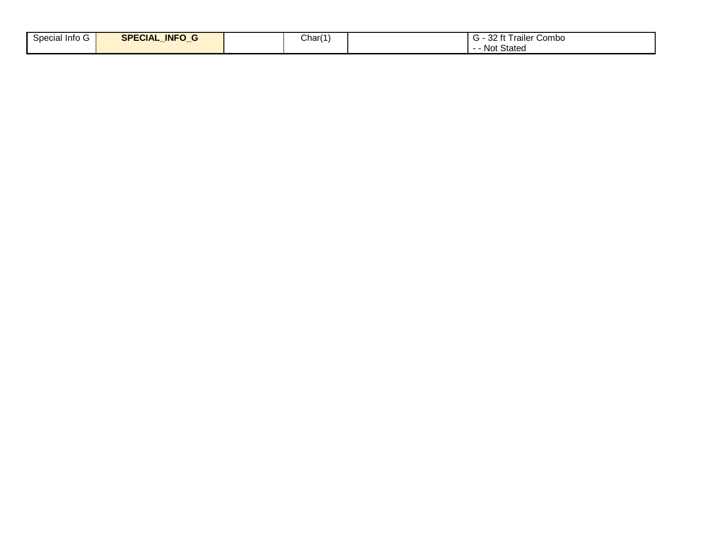| $\sim$<br>Special Info G | <b>INFO</b><br><b>SPECIAL</b><br>. .<br>$\sim$ | Char(1 | 32 ft Trailer Combo |
|--------------------------|------------------------------------------------|--------|---------------------|
|                          |                                                |        | Not Stated          |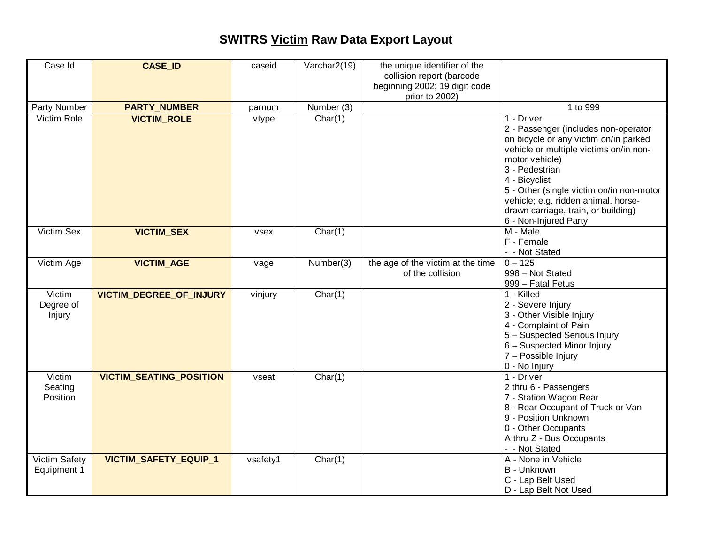## **SWITRS Victim Raw Data Export Layout**

| Case Id                       | <b>CASE ID</b>                 | caseid   | Varchar2(19) | the unique identifier of the<br>collision report (barcode<br>beginning 2002; 19 digit code<br>prior to 2002) |                                                                                                                                                                                                                                                                                                                                               |
|-------------------------------|--------------------------------|----------|--------------|--------------------------------------------------------------------------------------------------------------|-----------------------------------------------------------------------------------------------------------------------------------------------------------------------------------------------------------------------------------------------------------------------------------------------------------------------------------------------|
| Party Number                  | <b>PARTY_NUMBER</b>            | parnum   | Number (3)   |                                                                                                              | 1 to 999                                                                                                                                                                                                                                                                                                                                      |
| Victim Role                   | <b>VICTIM_ROLE</b>             | vtype    | Char(1)      |                                                                                                              | 1 - Driver<br>2 - Passenger (includes non-operator<br>on bicycle or any victim on/in parked<br>vehicle or multiple victims on/in non-<br>motor vehicle)<br>3 - Pedestrian<br>4 - Bicyclist<br>5 - Other (single victim on/in non-motor<br>vehicle; e.g. ridden animal, horse-<br>drawn carriage, train, or building)<br>6 - Non-Injured Party |
| Victim Sex                    | <b>VICTIM_SEX</b>              | vsex     | Char(1)      |                                                                                                              | M - Male<br>F - Female<br>- - Not Stated                                                                                                                                                                                                                                                                                                      |
| Victim Age                    | <b>VICTIM_AGE</b>              | vage     | Number(3)    | the age of the victim at the time<br>of the collision                                                        | $0 - 125$<br>998 - Not Stated<br>999 - Fatal Fetus                                                                                                                                                                                                                                                                                            |
| Victim<br>Degree of<br>Injury | VICTIM_DEGREE_OF_INJURY        | vinjury  | Char(1)      |                                                                                                              | 1 - Killed<br>2 - Severe Injury<br>3 - Other Visible Injury<br>4 - Complaint of Pain<br>5 - Suspected Serious Injury<br>6 - Suspected Minor Injury<br>7 - Possible Injury<br>0 - No Injury                                                                                                                                                    |
| Victim<br>Seating<br>Position | <b>VICTIM_SEATING_POSITION</b> | vseat    | Char(1)      |                                                                                                              | 1 - Driver<br>2 thru 6 - Passengers<br>7 - Station Wagon Rear<br>8 - Rear Occupant of Truck or Van<br>9 - Position Unknown<br>0 - Other Occupants<br>A thru Z - Bus Occupants<br>- - Not Stated                                                                                                                                               |
| Victim Safety<br>Equipment 1  | VICTIM_SAFETY_EQUIP_1          | vsafety1 | Char(1)      |                                                                                                              | A - None in Vehicle<br>B - Unknown<br>C - Lap Belt Used<br>D - Lap Belt Not Used                                                                                                                                                                                                                                                              |